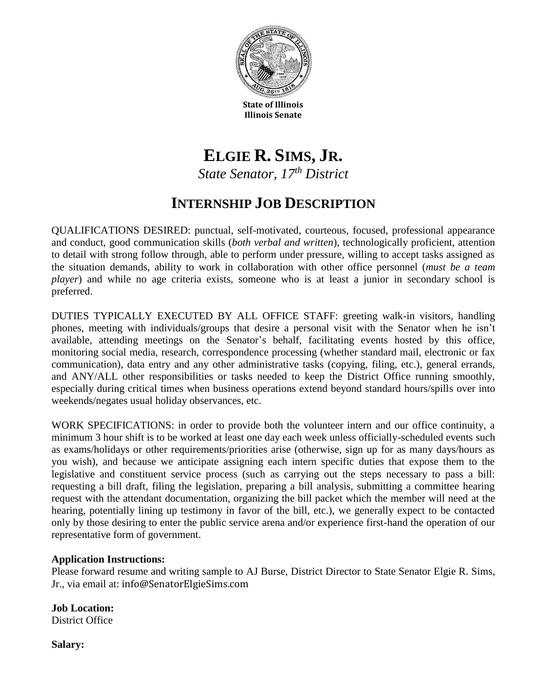

**State of Illinois Illinois Senate**

# **ELGIE R. SIMS, JR.** *State Senator, 17th District*

## **INTERNSHIP JOB DESCRIPTION**

QUALIFICATIONS DESIRED: punctual, self-motivated, courteous, focused, professional appearance and conduct, good communication skills (*both verbal and written*), technologically proficient, attention to detail with strong follow through, able to perform under pressure, willing to accept tasks assigned as the situation demands, ability to work in collaboration with other office personnel (*must be a team player*) and while no age criteria exists, someone who is at least a junior in secondary school is preferred.

DUTIES TYPICALLY EXECUTED BY ALL OFFICE STAFF: greeting walk-in visitors, handling phones, meeting with individuals/groups that desire a personal visit with the Senator when he isn't available, attending meetings on the Senator's behalf, facilitating events hosted by this office, monitoring social media, research, correspondence processing (whether standard mail, electronic or fax communication), data entry and any other administrative tasks (copying, filing, etc.), general errands, and ANY/ALL other responsibilities or tasks needed to keep the District Office running smoothly, especially during critical times when business operations extend beyond standard hours/spills over into weekends/negates usual holiday observances, etc.

WORK SPECIFICATIONS: in order to provide both the volunteer intern and our office continuity, a minimum 3 hour shift is to be worked at least one day each week unless officially-scheduled events such as exams/holidays or other requirements/priorities arise (otherwise, sign up for as many days/hours as you wish), and because we anticipate assigning each intern specific duties that expose them to the legislative and constituent service process (such as carrying out the steps necessary to pass a bill: requesting a bill draft, filing the legislation, preparing a bill analysis, submitting a committee hearing request with the attendant documentation, organizing the bill packet which the member will need at the hearing, potentially lining up testimony in favor of the bill, etc.), we generally expect to be contacted only by those desiring to enter the public service arena and/or experience first-hand the operation of our representative form of government.

#### **Application Instructions:**

Please forward resume and writing sample to AJ Burse, District Director to State Senator Elgie R. Sims, Jr., via email at: info@SenatorElgieSims.com

**Job Location:** District Office

**Salary:**